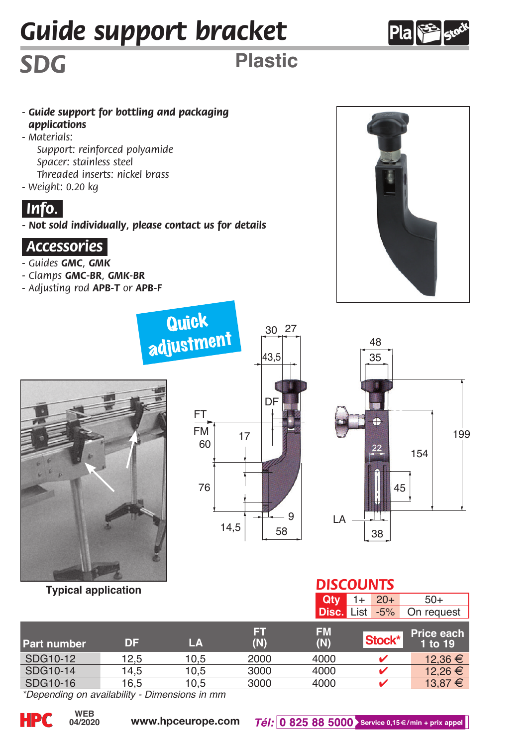# *Guide support bracket*



*SDG* **Plastic**

- *Guide support for bottling and packaging applications*
- *Materials:*
	- *Support: reinforced polyamide Spacer: stainless steel Threaded inserts: nickel brass*
- *Weight: 0.20 kg*

# *.Info..*

*- Not sold individually, please contact us for details*

**Quick** 

#### *.Accessories.*

- *Guides GMC, GMK*
- *Clamps GMC-BR, GMK-BR*
- *Adjusting rod APB-T or APB-F*





#### **Typical application**

| <b>Lillen,</b> |      | 43,5 |   |  |
|----------------|------|------|---|--|
| FT             |      | DI   |   |  |
| FM<br>60       | 17   |      |   |  |
| 76             |      |      |   |  |
|                | 14,5 | 58   | 9 |  |

30 27



### *DISCOUNTS*

| r y prour uppnounon |          |      |          |                   | $20+$  | $50+$                 |
|---------------------|----------|------|----------|-------------------|--------|-----------------------|
|                     |          |      |          | <b>Disc. List</b> | $-5%$  | On request            |
| Part number         | DF       | LA   | ы<br>(N) | <b>FM</b><br>(N)  | Stock* | Price each<br>1 to 19 |
| SDG10-12            | 12.5     | 10.5 | 2000     | 4000              |        | 12.36 €               |
| SDG10-14            | 14.5     | 10.5 | 3000     | 4000              |        | 12.26 €               |
| SDG10-16            | 16.5     | 10.5 | 3000     | 4000              | ັ      | 13,87 €               |
| <b>ALCOHOL:</b>     | <br>$-1$ |      |          |                   |        |                       |

*\*Depending on availability - Dimensions in mm*